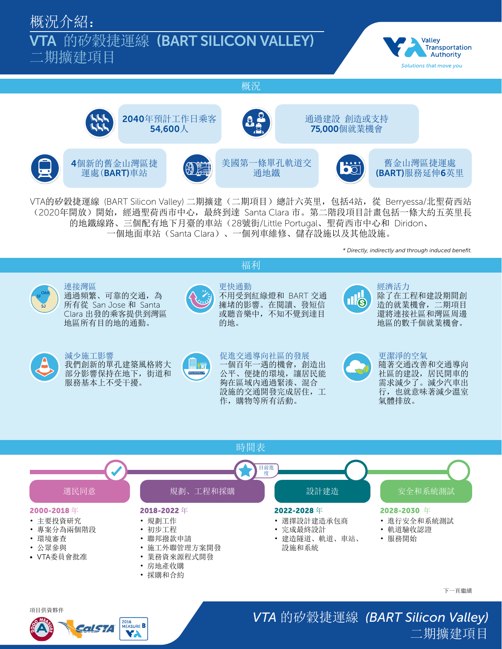概況介紹:

## VTA 的矽穀捷運線 (BART SILICON VALLEY)

二期擴建項目



概況



VTA的矽穀捷運線 (BART Silicon Valley) 二期擴建(二期項目)總計六英里,包括4站,從 Berryessa/北聖荷西站 (2020年開放)開始,經過聖荷西市中心,最終到達 Santa Clara 市。第二階段項目計畫包括一條大約五英里長 的地鐵線路、三個配有地下月臺的車站(28號街/Little Portugal、聖荷西市中心和 Diridon、 一個地面車站(Santa Clara)、一個列車維修、儲存設施以及其他設施。

福利

*\* Directly, indirectly and through induced benefit.*



連接灣區 通過頻繁、可靠的交通,為 所有從 San Jose 和 Santa Clara 出發的乘客提供到灣區 地區所有目的地的通勤。



更快通勤 不用受到紅綠燈和 BART 交通 擁堵的影響。在閱讀、發短信 或聽音樂中,不知不覺到達目



經濟活力 除了在工程和建設期間創 造的就業機會,二期項目 還將連接社區和灣區周邊 地區的數千個就業機會。



減少施工影響 我們創新的單孔建築風格將大 部分影響保持在地下,街道和 服務基本上不受干擾。



促進交通導向社區的發展 一個百年一遇的機會,創造出 公平、便捷的環境,讓居民能 夠在區域內通過緊湊、混合 設施的交通開發完成居住,工 作,購物等所有活動。



更潔淨的空氣

隨著交通改善和交通導向 社區的建設,居民開車的 需求減少了。減少汽車出 行,也就意味著減少溫室 氣體排放。



## 項目供資夥伴



*VTA* 的矽穀捷運線 *(BART Silicon Valley)* 二期擴建項目